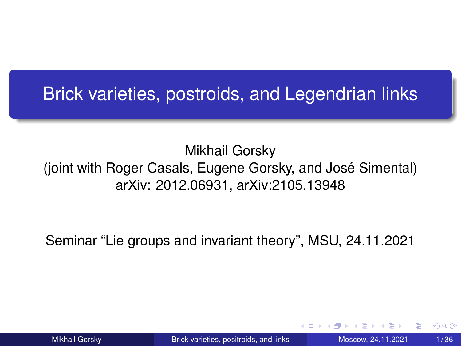# <span id="page-0-0"></span>Brick varieties, postroids, and Legendrian links

#### Mikhail Gorsky (joint with Roger Casals, Eugene Gorsky, and José Simental) arXiv: 2012.06931, arXiv:2105.13948

Seminar "Lie groups and invariant theory", MSU, 24.11.2021

つひつ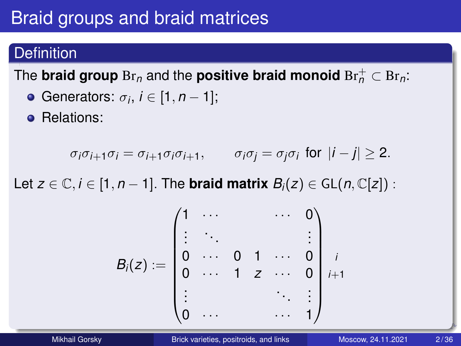# Braid groups and braid matrices

### **Definition**

### The **braid group**  $\text{Br}_n$  and the **positive braid monoid**  $\text{Br}_n^+ \subset \text{Br}_n$ :

- Generators:  $\sigma_i$ ,  $i \in [1, n-1]$ ;
- **e** Relations:

$$
\sigma_i \sigma_{i+1} \sigma_i = \sigma_{i+1} \sigma_i \sigma_{i+1}, \qquad \sigma_i \sigma_j = \sigma_j \sigma_i \text{ for } |i-j| \geq 2.
$$

Let  $z \in \mathbb{C}, i \in [1, n-1]$ . The **braid matrix**  $B_i(z) \in GL(n, \mathbb{C}[z])$ :

$$
B_i(z) := \begin{pmatrix} 1 & \cdots & & & \cdots & 0 \\ \vdots & & & & & \vdots \\ 0 & \cdots & 0 & 1 & \cdots & 0 \\ 0 & \cdots & 1 & z & \cdots & 0 \\ \vdots & & & & & \vdots \\ 0 & \cdots & & & & \cdots & 1 \end{pmatrix} ,
$$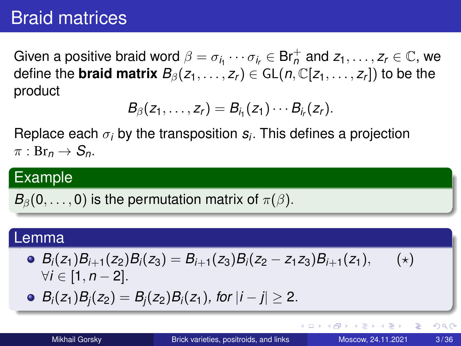## Braid matrices

Given a positive braid word  $\beta = \sigma_{i_1}\cdots\sigma_{i_r}\in\mathsf{Br}_n^+$  and  $\mathsf{z}_1,\ldots,\mathsf{z}_r\in\mathbb{C},$  we define the **braid matrix**  $B_\beta(z_1,\ldots,z_r)\in$  GL $(n,\mathbb{C}[z_1,\ldots,z_r])$  to be the product

$$
B_{\beta}(z_1,\ldots,z_r)=B_{i_1}(z_1)\cdots B_{i_r}(z_r).
$$

Replace each  $\sigma_i$  by the transposition  $\boldsymbol{s}_i$ . This defines a projection  $\pi : \text{Br}_n \to S_n$ .

#### Example

 $B_{\beta}(0,\ldots,0)$  is the permutation matrix of  $\pi(\beta)$ .

#### Lemma

• 
$$
B_i(z_1)B_{i+1}(z_2)B_i(z_3) = B_{i+1}(z_3)B_i(z_2 - z_1z_3)B_{i+1}(z_1),
$$
 (\*)  
\n $\forall i \in [1, n-2].$  (\*)

 $B_i(z_1)B_i(z_2) = B_i(z_2)B_i(z_1)$ *, for*  $|i - j| \ge 2$ .

4 0 8 4 5 8 4 5 8 4 5 8 1

G.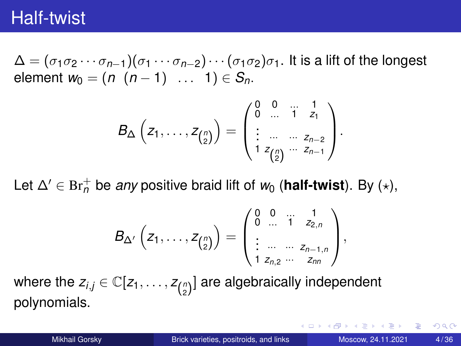## Half-twist

 $\Delta = (\sigma_1 \sigma_2 \cdots \sigma_{n-1})(\sigma_1 \cdots \sigma_{n-2}) \cdots (\sigma_1 \sigma_2)\sigma_1$ . It is a lift of the longest element  $w_0 = (n (n-1) ... 1) \in S_n$ .

$$
B_{\Delta}\left(z_1,\ldots,z_{\binom{n}{2}}\right)=\begin{pmatrix} 0 & 0 & \ldots & 1 \\ 0 & \ldots & 1 & z_1 \\ \vdots & \ldots & \ldots & z_{n-2} \\ 1 & z_{\binom{n}{2}} & \ldots & z_{n-1} \end{pmatrix}.
$$

Let  $\Delta' \in \text{Br}_n^+$  be *any* positive braid lift of  $w_0$  (**half-twist**). By  $(\star)$ ,

$$
B_{\Delta'}\left(z_1,\ldots,z_{\binom{n}{2}}\right)=\begin{pmatrix}0 & 0 & \ldots & 1 \\ 0 & \ldots & 1 & z_{2,n} \\ \vdots & \ldots & \ldots & z_{n-1,n} \\ 1 & z_{n,2} & \ldots & z_{nn}\end{pmatrix},
$$

where the  $z_{i,j} \in \mathbb{C}[z_1,\ldots,z_{\binom{n}{2}}]$  are algebraically independent polynomials.

イロト イ押ト イヨト イヨトー

в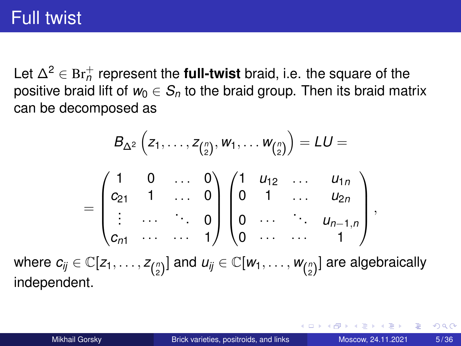# Full twist

Let ∆<sup>2</sup> ∈ Br<sup>+</sup> *n* represent the **full-twist** braid, i.e. the square of the positive braid lift of  $w_0 \in S_n$  to the braid group. Then its braid matrix can be decomposed as

$$
B_{\Delta^2} (z_1, ..., z_{\binom{n}{2}}, w_1, ..., w_{\binom{n}{2}}) = LU =
$$
\n
$$
= \begin{pmatrix} 1 & 0 & \dots & 0 \\ c_{21} & 1 & \dots & 0 \\ \vdots & \dots & \ddots & 0 \\ c_{n1} & \dots & \dots & 1 \end{pmatrix} \begin{pmatrix} 1 & u_{12} & \dots & u_{1n} \\ 0 & 1 & \dots & u_{2n} \\ 0 & \dots & \dots & 1 \end{pmatrix},
$$
\nwhere  $c_{ij} \in \mathbb{C}[z_1, ..., z_{\binom{n}{2}}]$  and  $u_{ij} \in \mathbb{C}[w_1, ..., w_{\binom{n}{2}}]$  are algebraically independent.

化重新分离

 $\leftarrow$   $\leftarrow$   $\leftarrow$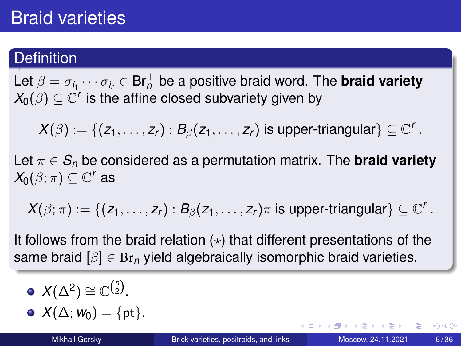#### **Definition**

Let  $\beta = \sigma_{i_1}\cdots\sigma_{i_r} \in \mathsf{Br}_n^+$  be a positive braid word. The **braid variety**  $\mathcal{X}_0(\beta)\subseteq \mathbb{C}^r$  is the affine closed subvariety given by

 $\mathcal{X}(\beta):=\{(z_1,\ldots,z_r): \mathcal{B}_\beta(z_1,\ldots,z_r) \text{ is upper-triangular}\}\subseteq \mathbb{C}^r$  .

Let  $\pi \in S_n$  be considered as a permutation matrix. The **braid variety**  $X_0(\beta; \pi) \subseteq \mathbb{C}^r$  as

 $X(\beta;\pi):=\{(z_1,\ldots,z_r): \mathcal{B}_\beta(z_1,\ldots,z_r)\pi \text{ is upper-triangular}\}\subseteq \mathbb{C}^r$ .

It follows from the braid relation  $(*)$  that different presentations of the same braid  $\beta$   $\in$  Br<sub>n</sub> yield algebraically isomorphic braid varieties.

$$
\bullet \, X(\Delta^2) \cong \mathbb{C}^{\binom{n}{2}}.
$$

$$
\bullet \ \ X(\Delta; \mathbf{w}_0) = \{\mathrm{pt}\}.
$$

в

 $\Omega$ 

イロト イ押 トイラ トイラトー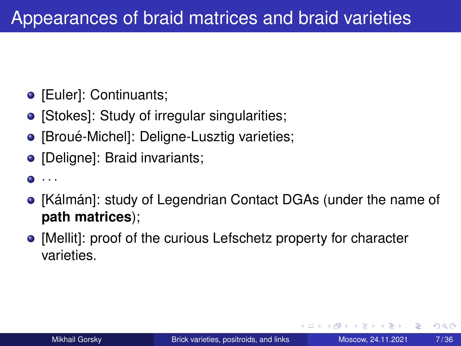- [Euler]: Continuants;
- [Stokes]: Study of irregular singularities;
- [Broué-Michel]: Deligne-Lusztig varieties;
- [Deligne]: Braid invariants;

```
\bullet \cdot \cdot \cdot
```
- [Kálmán]: study of Legendrian Contact DGAs (under the name of **path matrices**);
- [Mellit]: proof of the curious Lefschetz property for character varieties.

 $\Omega$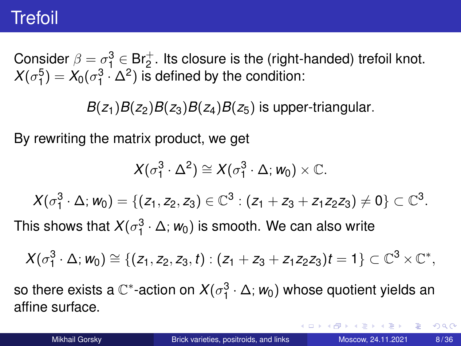## <span id="page-7-0"></span>Trefoil

Consider  $\beta = \sigma_1^3 \in \text{Br}_2^+$ . Its closure is the (right-handed) trefoil knot.  $X(\sigma_1^5) = X_0(\sigma_1^3 \cdot \Delta^2)$  is defined by the condition:

 $B(z_1)B(z_2)B(z_3)B(z_4)B(z_5)$  is upper-triangular.

By rewriting the matrix product, we get

$$
X(\sigma_1^3\cdot\Delta^2)\cong X(\sigma_1^3\cdot\Delta; w_0)\times\mathbb{C}.
$$

 $X(\sigma_1^3 \cdot \Delta; w_0) = \{(z_1, z_2, z_3) \in \mathbb{C}^3 : (z_1 + z_3 + z_1z_2z_3) \neq 0\} \subset \mathbb{C}^3.$ 

This shows that  $X(\sigma_1^3 \cdot \Delta; w_0)$  is smooth. We can also write

$$
X(\sigma_1^3\cdot \Delta;w_0)\cong \{(z_1,z_2,z_3,t): (z_1+z_3+z_1z_2z_3)t=1\}\subset \mathbb{C}^3\times \mathbb{C}^*,
$$

so there exists a  $\mathbb{C}^*$ -action on  $X(\sigma_1^3 \cdot \Delta; \textbf{\textit{w}}_0)$  whose quotient yields an affine surface.

イロト イ押ト イヨト イヨト ニヨ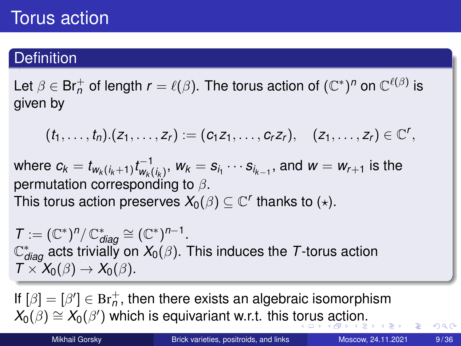## <span id="page-8-0"></span>Torus action

### **Definition**

Let  $\beta\in\mathsf{Br}_n^+$  of length  $r=\ell(\beta).$  The torus action of  $(\mathbb{C}^*)^n$  on  $\mathbb{C}^{\ell(\beta)}$  is given by

$$
(t_1,\ldots,t_n).(z_1,\ldots,z_r):=(c_1z_1,\ldots,c_rz_r), (z_1,\ldots,z_r)\in\mathbb{C}^r,
$$

where  $c_k=t_{\mathsf{w}_k(i_k+1)}t_{\mathsf{w}_k(i)}^{-1}$  $w_k$ <sub> $w_k$ </sub>,  $w_k = s_{i_1} \cdots s_{i_{k-1}},$  and  $w = w_{r+1}$  is the permutation corresponding to  $\beta$ . This torus action preserves  $\mathit{X_0(\beta)}\subseteq \mathbb{C}^r$  thanks to  $(\star).$ 

 $\mathcal{T} := (\mathbb{C}^*)^n / \mathbb{C}^*_{\text{diag}} \cong (\mathbb{C}^*)^{n-1}.$  $\mathbb{C}^*_{\textit{diag}}$  acts trivially on  $X_0(\beta).$  This induces the  $\mathcal T$ -torus action  $T \times X_0(\beta) \rightarrow X_0(\beta)$ .

If  $[\beta]=[{\beta'}]\in {\rm Br}_n^+$ , then there exists an algebraic isomorphism  $X_0(\beta) \cong X_0(\beta')$  $X_0(\beta) \cong X_0(\beta')$  $X_0(\beta) \cong X_0(\beta')$  which is equivariant w.r.t. this t[or](#page-7-0)[us](#page-9-0) [a](#page-7-0)[ct](#page-8-0)[i](#page-9-0)on[.](#page-35-0)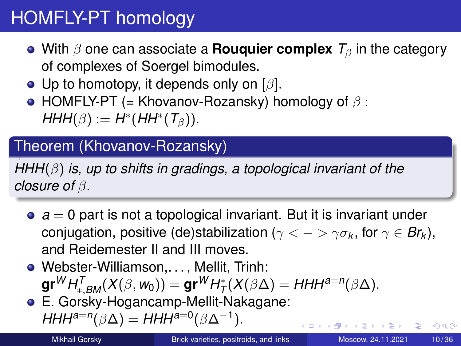# <span id="page-9-0"></span>HOMFLY-PT homology

- With  $\beta$  one can associate a **Rouquier complex**  $T_\beta$  in the category of complexes of Soergel bimodules.
- Up to homotopy, it depends only on  $\lbrack \beta \rbrack$ .
- HOMFLY-PT (= Khovanov-Rozansky) homology of  $\beta$ :  $HHH(\beta) := H^*(HH^*(\mathcal{T}_{\beta})).$

#### Theorem (Khovanov-Rozansky)

*HHH*(β) *is, up to shifts in gradings, a topological invariant of the closure of* β.

- $\bullet$   $a = 0$  part is not a topological invariant. But it is invariant under  $\,$  conjugation, positive (de)stabilization ( $\gamma < - > \gamma \sigma_{\mathsf{k}} ,$  for  $\gamma \in \mathsf{Br}_{\mathsf{k}}),$ and Reidemester II and III moves.
- Webster-Williamson,. . . , Mellit, Trinh:  $\mathsf{gr}^W H^{\mathcal{T}}_{*,BM}(X(\beta,w_0)) = \mathsf{gr}^W H^*_{\mathcal{T}}(X(\beta\Delta) = H H H^{a=n}(\beta\Delta).$
- E. Gorsky-Hogancamp-Mellit-Nakagane:  $HHH^{a=n}(\beta \Delta) = HHH^{a=0}(\beta \Delta^{-1}).$

←ロト ←部 ト ←語 ト ←語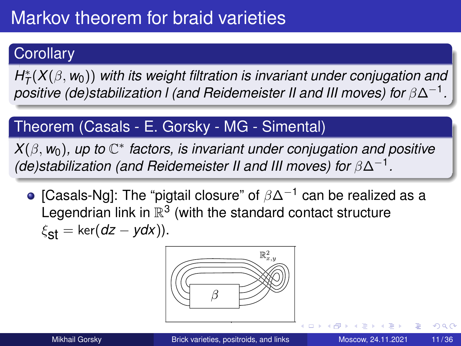### **Corollary**

*H* ∗ (*X*(β, *w*0)) *with its weight filtration is invariant under conjugation and T T*<sub>(</sub>*X*(*β*, *m*<sub>0</sub>*) min ns weight miration is invariant direct conjugation and positive (de)stabilization I (and Reidemeister II and III moves) for β*Δ<sup>-1</sup>.

#### Theorem (Casals - E. Gorsky - MG - Simental)

*X*(β, *w*0)*, up to* C ∗ *factors, is invariant under conjugation and positive (de)stabilization (and Reidemeister II and III moves) for* β∆−<sup>1</sup> *.*

• [Casals-Ng]: The "pigtail closure" of  $\beta\Delta^{-1}$  can be realized as a Legendrian link in  $\mathbb{R}^3$  (with the standard contact structure  $\xi_{\text{st}} = \ker(dz - ydx)$ ).



 $\Omega$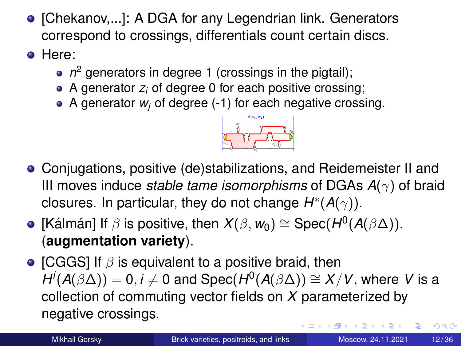- [Chekanov,...]: A DGA for any Legendrian link. Generators correspond to crossings, differentials count certain discs.
- **o** Here:
	- *n* <sup>2</sup> generators in degree 1 (crossings in the pigtail);
	- A generator *z<sup>i</sup>* of degree 0 for each positive crossing;
	- A generator *w<sup>j</sup>* of degree (-1) for each negative crossing.



- Conjugations, positive (de)stabilizations, and Reidemeister II and III moves induce *stable tame isomorphisms* of DGAs  $A(\gamma)$  of braid closures. In particular, they do not change  $H^*(A(\gamma))$ .
- $[$ Kálmán] If  $\beta$  is positive, then  $X(\beta, w_0) \cong \mathsf{Spec}(H^0(\mathcal{A}(\beta \Delta)).$ (**augmentation variety**).
- [CGGS] If  $\beta$  is equivalent to a positive braid, then  $H^i(A(\beta \Delta)) = 0, i \neq 0$  and  $\mathsf{Spec}(H^0(A(\beta \Delta)) \cong X/V,$  where *V* is a collection of commuting vector fields on *X* parameterized by negative crossings. イロト イ押ト イヨト イヨ  $\Omega$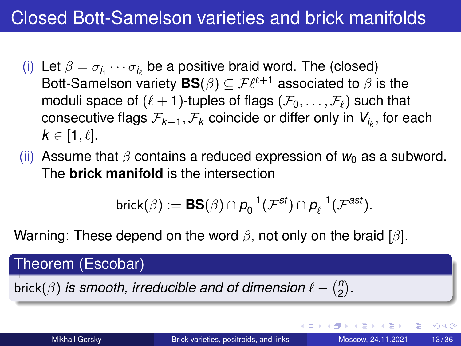# Closed Bott-Samelson varieties and brick manifolds

- (i) Let  $\beta = \sigma_{i_1} \cdots \sigma_{i_\ell}$  be a positive braid word. The (closed) Bott-Samelson variety  $\mathbf{BS}(\beta)\subseteq \mathcal{F}\ell^{\ell+1}$  associated to  $\beta$  is the moduli space of  $(\ell + 1)$ -tuples of flags  $(\mathcal{F}_0, \ldots, \mathcal{F}_\ell)$  such that  $\,$  consecutive flags  $\mathcal{F}_{\mathcal{K}-1}, \mathcal{F}_{\mathcal{K}}$  coincide or differ only in  $\,\mathcal{V}_{i_{\mathcal{K}}} ,$  for each  $k \in [1, \ell].$
- (ii) Assume that  $\beta$  contains a reduced expression of  $w_0$  as a subword. The **brick manifold** is the intersection

$$
\mathsf{brick}(\beta) := \textbf{BS}(\beta) \cap p_0^{-1}(\mathcal{F}^{st}) \cap p_{\ell}^{-1}(\mathcal{F}^{ast}).
$$

Warning: These depend on the word  $\beta$ , not only on the braid [ $\beta$ ].

Theorem (Escobar)

brick( $\beta$ ) *is smooth, irreducible and of dimension*  $\ell - \binom{n}{2}$  $\binom{n}{2}$ .

 $\Omega$ 

イロト イ押 トイヨ トイヨ トー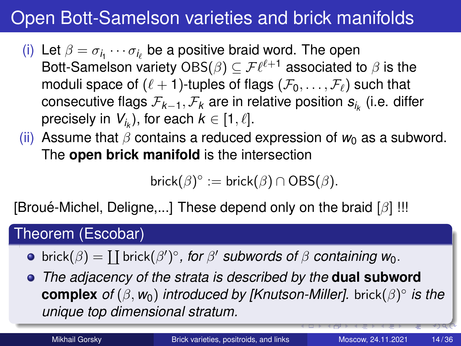# Open Bott-Samelson varieties and brick manifolds

- (i) Let  $\beta = \sigma_{i_1} \cdots \sigma_{i_\ell}$  be a positive braid word. The open Bott-Samelson variety OBS $(\beta)\subseteq \mathcal{F}\ell^{\ell+1}$  associated to  $\beta$  is the moduli space of  $(\ell + 1)$ -tuples of flags  $(\mathcal{F}_0, \ldots, \mathcal{F}_\ell)$  such that consecutive flags F*k*−1, F*<sup>k</sup>* are in relative position *si<sup>k</sup>* (i.e. differ precisely in  $\boldsymbol{V}_{i_{k}}$ ), for each  $k\in[1,\ell].$
- (ii) Assume that  $\beta$  contains a reduced expression of  $w_0$  as a subword. The **open brick manifold** is the intersection

brick $(\beta)^{\circ}$  := brick $(\beta) \cap \mathrm{OBS}(\beta)$ .

[Broue-Michel, Deligne,...] These depend only on the braid  $\lceil \beta \rceil$ !!!

#### Theorem (Escobar)

 $\mathsf{brick}(\beta) = \coprod \mathsf{brick}(\beta')^\circ$ , for  $\beta'$  *subwords of*  $\beta$  *containing*  $w_0$ .

*The adjacency of the strata is described by the* **dual subword complex** of ( $\beta$ , w<sub>0</sub>) *introduced by [Knutson-Miller].* brick( $\beta$ )° *is the unique top dimensional stratum.*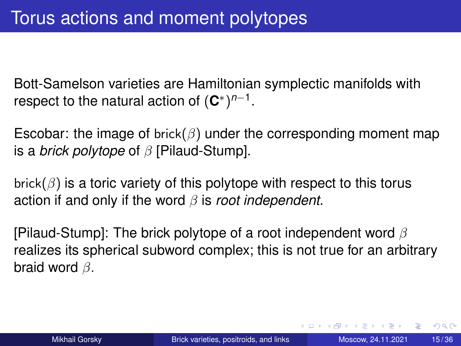Bott-Samelson varieties are Hamiltonian symplectic manifolds with respect to the natural action of  $({\bf C}^{*})^{n-1}.$ 

Escobar: the image of brick( $\beta$ ) under the corresponding moment map is a *brick polytope* of β [Pilaud-Stump].

brick( $\beta$ ) is a toric variety of this polytope with respect to this torus action if and only if the word β is *root independent*.

[Pilaud-Stump]: The brick polytope of a root independent word  $\beta$ realizes its spherical subword complex; this is not true for an arbitrary braid word β.

 $\Omega$ 

イロト イ押ト イヨト イヨトー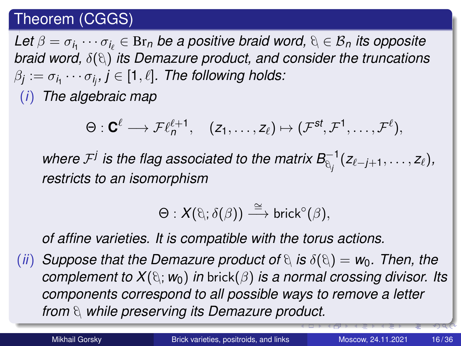#### <span id="page-15-0"></span>Theorem (CGGS)

 $\mathsf{Let}\ \beta=\sigma_{i_1}\cdots\sigma_{i_\ell}\in\operatorname{Br}_n$  be a positive braid word,  $\mathfrak{h}\in\mathcal{B}_n$  its opposite *braid word,*  $\delta(\theta)$  *its Demazure product, and consider the truncations*  $\beta_j := \sigma_{i_1} \cdots \sigma_{i_j}, j \in [1,\ell].$  The following holds: (*i*) *The algebraic map*

 $\Theta: \mathbf{C}^{\ell} \longrightarrow \mathcal{F}\ell_{n}^{\ell+1}, \quad (z_{1}, \ldots, z_{\ell}) \mapsto (\mathcal{F}^{\mathbf{s}\mathbf{f}}, \mathcal{F}^1, \ldots, \mathcal{F}^{\ell}),$ 

where  $\mathcal{F}^j$  is the flag associated to the matrix  $\mathcal{B}_{\mathbb{Q}_j}^{-1}(z_{\ell-j+1}, \ldots, z_{\ell}),$ *restricts to an isomorphism*

$$
\Theta: X(\mathfrak{d};\delta(\beta)) \stackrel{\cong}{\longrightarrow} \mathsf{brick}^{\circ}(\beta),
$$

*of affine varieties. It is compatible with the torus actions.*

(*ii*) *Suppose that the Demazure product of*  $\theta$  *is*  $\delta(\theta) = w_0$ . Then, the *complement to*  $X(\mathfrak{g}; w_0)$  *in* brick( $\beta$ ) *is a normal crossing divisor. Its components correspond to all possible ways to remove a letter from* β*while preserving its Demazure product.*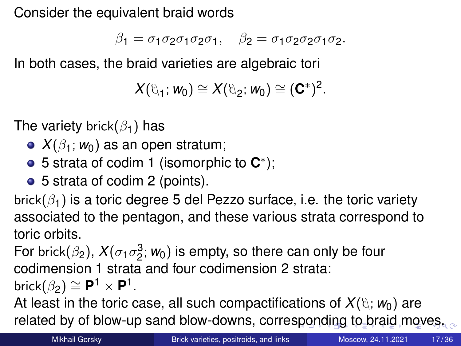<span id="page-16-0"></span>Consider the equivalent braid words

$$
\beta_1=\sigma_1\sigma_2\sigma_1\sigma_2\sigma_1,\quad \beta_2=\sigma_1\sigma_2\sigma_2\sigma_1\sigma_2.
$$

In both cases, the braid varieties are algebraic tori

$$
X(\theta_1; w_0) \cong X(\theta_2; w_0) \cong (\mathbf{C}^*)^2.
$$

The variety brick( $\beta_1$ ) has

- $\bullet X(\beta_1; w_0)$  as an open stratum;
- 5 strata of codim 1 (isomorphic to **C** ∗ );
- 5 strata of codim 2 (points).

brick( $\beta_1$ ) is a toric degree 5 del Pezzo surface, i.e. the toric variety associated to the pentagon, and these various strata correspond to toric orbits.

For brick $(\beta_2)$ ,  $X(\sigma_1\sigma_2^3; w_0)$  is empty, so there can only be four codimension 1 strata and four codimension 2 strata:

 $\text{brick}(\beta_2) \cong \mathbf{P}^1 \times \mathbf{P}^1.$ 

At least in the toric case, all such compactifications of  $X(\theta; w_0)$  are related by of blow-up sand blow-downs, corre[spo](#page-15-0)[n](#page-17-0)[di](#page-15-0)[ng](#page-16-0) [to](#page-0-0) [br](#page-35-0)[ai](#page-0-0)[d](#page-35-0) [mo](#page-0-0)[ve](#page-35-0)s.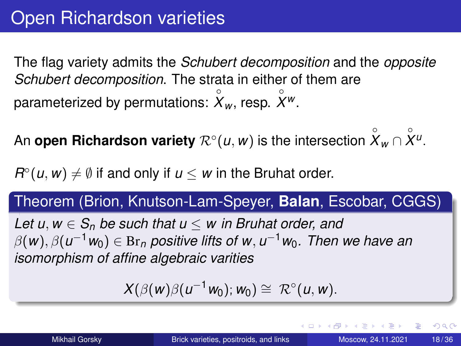<span id="page-17-0"></span>The flag variety admits the *Schubert decomposition* and the *opposite Schubert decomposition*. The strata in either of them are parameterized by permutations:  $\overset{\circ}{X}_{w}$ , resp.  $\overset{\circ}{X}{}^{w}$ .

An **open Richardson variety**  $\mathcal{R}^{\circ}(u,w)$  is the intersection  $\overset{\circ}{X}_w \cap \overset{\circ}{X}{}^\mu.$ 

 $R^{\circ}(u, w) \neq \emptyset$  if and only if  $u \leq w$  in the Bruhat order.

# Theorem (Brion, Knutson-Lam-Speyer, **Balan**, Escobar, CGGS)

*Let u, w*  $\in$  *S<sub>n</sub> be such that u*  $\leq$  *w in Bruhat order, and*  $\beta(\textit{w}), \beta(\textit{u}^{-1} \textit{w}_{0}) \in \text{Br}_n$  positive lifts of w $, \textit{u}^{-1} \textit{w}_{0}.$  Then we have an *isomorphism of affine algebraic varities*

 $X(\beta(w)\beta(u^{-1}w_0); w_0) \cong \mathcal{R}^{\circ}(u, w).$ 

 $\Omega$ 

イロト イ押ト イヨト イヨトー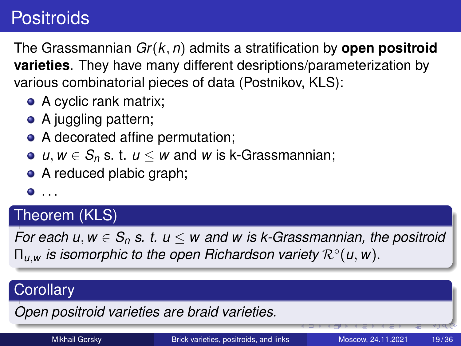# **Positroids**

The Grassmannian *Gr*(*k*, *n*) admits a stratification by **open positroid varieties**. They have many different desriptions/parameterization by various combinatorial pieces of data (Postnikov, KLS):

- A cyclic rank matrix;
- A juggling pattern;
- A decorated affine permutation;
- $\bullet$  *u*, *w* ∈ *S*<sub>*n*</sub> s. t. *u* ≤ *w* and *w* is k-Grassmannian;
- A reduced plabic graph;
- $\bullet$  . . .

#### Theorem (KLS)

*For each u, w*  $\in$  *S<sub>n</sub> s. t.*  $u \le w$  *and w is k-Grassmannian, the positroid* Π*u*,*<sup>w</sup> is isomorphic to the open Richardson variety* R◦ (*u*, *w*).

#### **Corollary**

*Open positroid varieties are braid varieties.*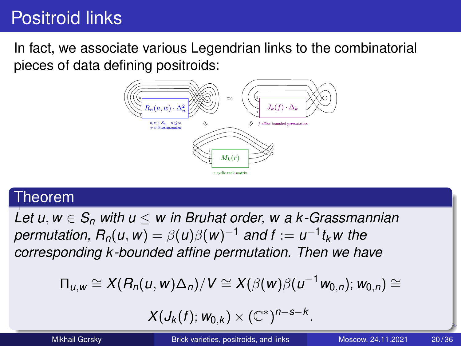# Positroid links

In fact, we associate various Legendrian links to the combinatorial pieces of data defining positroids:



#### Theorem

*Let u*, *w* ∈ *S<sup>n</sup> with u* ≤ *w in Bruhat order, w a k-Grassmannian*  $\mathcal{P}$ *permutation,*  $R_n(u,w) = \beta(u)\beta(w)^{-1}$  *and f :=*  $u^{-1}t_kw$  *the corresponding k-bounded affine permutation. Then we have*

$$
\Pi_{u,w}\cong X(R_n(u,w)\Delta_n)/V\cong X(\beta(w)\beta(u^{-1}w_{0,n});w_{0,n})\cong
$$

$$
X(J_k(f); w_{0,k}) \times (\mathbb{C}^*)^{n-s-k}.
$$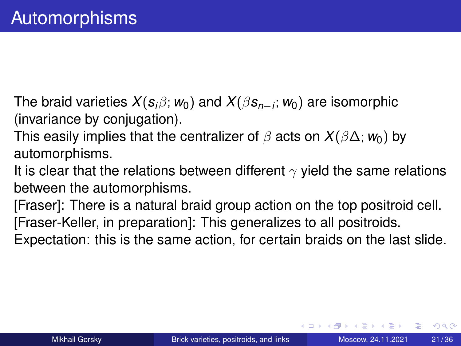- The braid varieties *X*(*si*β; *w*0) and *X*(β*sn*−*<sup>i</sup>* ; *w*0) are isomorphic (invariance by conjugation).
- This easily implies that the centralizer of  $\beta$  acts on  $X(\beta\Delta; w_0)$  by automorphisms.
- It is clear that the relations between different  $\gamma$  yield the same relations between the automorphisms.
- [Fraser]: There is a natural braid group action on the top positroid cell. [Fraser-Keller, in preparation]: This generalizes to all positroids.
- Expectation: this is the same action, for certain braids on the last slide.

 $\Omega$ 

化重氮化重氮化

4 ロ ト ィ *同* ト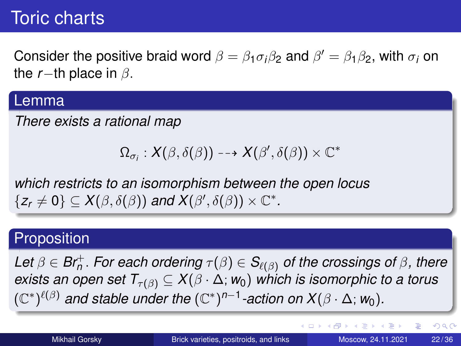# Toric charts

Consider the positive braid word  $\beta = \beta_1 \sigma_i \beta_2$  and  $\beta' = \beta_1 \beta_2$ , with  $\sigma_i$  on the  $r$ −th place in  $\beta$ .

#### Lemma

*There exists a rational map*

$$
\Omega_{\sigma_i} : X(\beta, \delta(\beta)) \dashrightarrow X(\beta', \delta(\beta)) \times \mathbb{C}^*
$$

*which restricts to an isomorphism between the open locus*  $\{z_r \neq 0\} \subseteq X(\beta, \delta(\beta))$  and  $X(\beta', \delta(\beta)) \times \mathbb{C}^*$ .

#### **Proposition**

 $\mathsf{Let}\ \beta\in\mathsf{Br}^+_n.$  *For each ordering*  $\tau(\beta)\in\mathsf{S}_{\ell(\beta)}$  *of the crossings of*  $\beta$ *, there exists an open set*  $T_{\tau(\beta)} \subseteq X(\beta \cdot \Delta; w_0)$  *which is isomorphic to a torus*  $(\mathbb{C}^*)^{\ell(\beta)}$  and stable under the  $(\mathbb{C}^*)^{n-1}$ -action on  $X(\beta \cdot \Delta; w_0)$ .

G.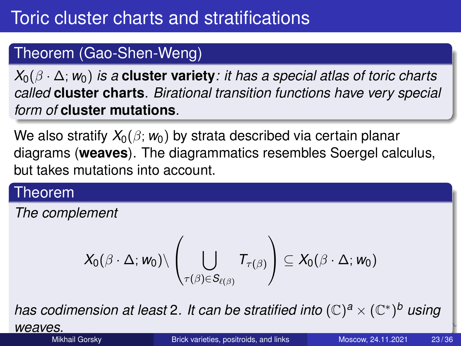### Theorem (Gao-Shen-Weng)

*X*0(β · ∆; *w*0) *is a* **cluster variety***: it has a special atlas of toric charts called* **cluster charts***. Birational transition functions have very special form of* **cluster mutations***.*

We also stratify  $X_0(\beta; w_0)$  by strata described via certain planar diagrams (**weaves**). The diagrammatics resembles Soergel calculus, but takes mutations into account.

#### Theorem

*The complement*

$$
X_0(\beta\cdot\Delta; \textbf{\textit{w}}_0)\backslash\left(\bigcup_{\tau(\beta)\in S_{\ell(\beta)}}T_{\tau(\beta)}\right)\subseteq X_0(\beta\cdot\Delta; \textbf{\textit{w}}_0)
$$

*has codimension at least* 2*. It can be stratified into* (C) *<sup>a</sup>* × (C ∗ ) *<sup>b</sup> using*

*weaves.*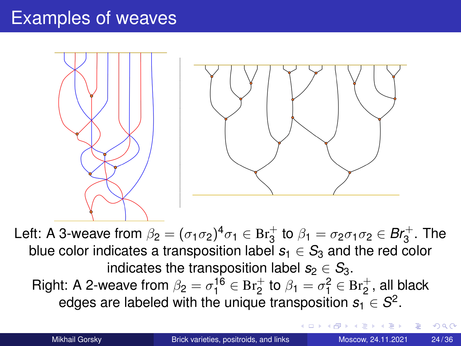## Examples of weaves



Left: A 3-weave from  $\beta_2=(\sigma_1\sigma_2)^4\sigma_1\in \mathrm{Br}_3^+$  to  $\beta_1=\sigma_2\sigma_1\sigma_2\in \mathrm{Br}_3^+$ . The blue color indicates a transposition label  $s_1 \in S_3$  and the red color indicates the transposition label  $s_2 \in S_3$ . Right: A 2-weave from  $\beta_2 = \sigma_1^{16} \in \text{Br}_2^+$  to  $\beta_1 = \sigma_1^2 \in \text{Br}_2^+$ , all black edges are labeled with the unique transposition  $s_1 \in S^2$ .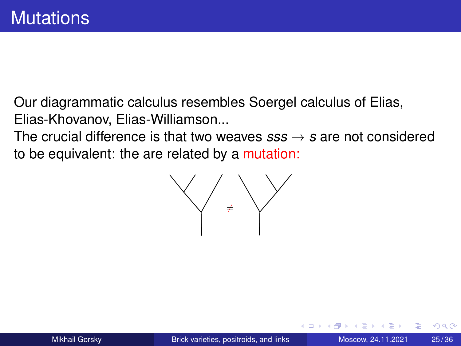Our diagrammatic calculus resembles Soergel calculus of Elias, Elias-Khovanov, Elias-Williamson...

The crucial difference is that two weaves  $sss \rightarrow s$  are not considered to be equivalent: the are related by a mutation:

 $\bigvee$  +  $\bigvee$ 

 $\Omega$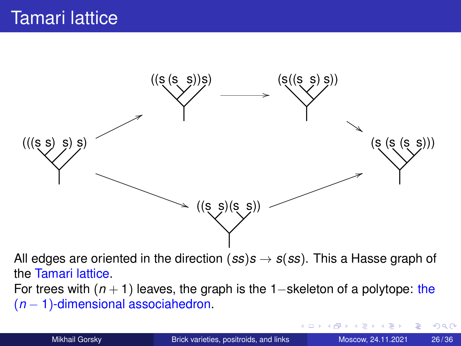<span id="page-25-0"></span>

All edges are oriented in the direction  $(ss)s \rightarrow s(ss)$ . This a Hasse graph of the Tamari lattice.

For trees with (*n* + 1) leaves, the graph is the 1−skeleton of a polytope: the (*n* − 1)-dimensional associahedron.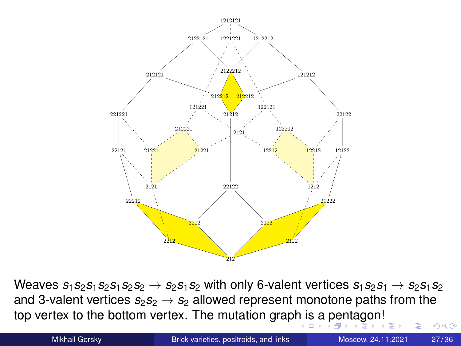<span id="page-26-0"></span>

Weaves  $s_1s_2s_1s_2s_1s_2s_2 \rightarrow s_2s_1s_2$  with only 6-valent vertices  $s_1s_2s_1 \rightarrow s_2s_1s_2$ and 3-valent vertices  $s_2s_2 \rightarrow s_2$  allowed represent monotone paths from the top vertex to the bottom vertex. The mutation grap[h i](#page-25-0)s [a](#page-27-0)[pe](#page-26-0)[n](#page-27-0)[tag](#page-0-0)[on](#page-35-0)[!](#page-0-0)  $299$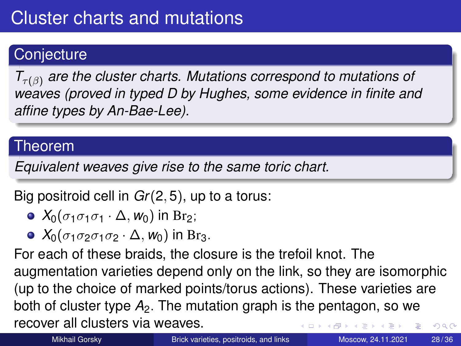### <span id="page-27-0"></span>**Conjecture**

*T*τ(β) *are the cluster charts. Mutations correspond to mutations of weaves (proved in typed D by Hughes, some evidence in finite and affine types by An-Bae-Lee).*

#### Theorem

*Equivalent weaves give rise to the same toric chart.*

Big positroid cell in *Gr*(2, 5), up to a torus:

- $\bullet$  *X*<sub>0</sub>( $\sigma_1 \sigma_1 \sigma_1 \cdot \Delta$ , *w*<sub>0</sub>) in Br<sub>2</sub>;
- $\bullet$  *X*<sub>0</sub>( $\sigma_1 \sigma_2 \sigma_1 \sigma_2 \cdot \Delta$ , *w*<sub>0</sub>) in Br<sub>3</sub>.

For each of these braids, the closure is the trefoil knot. The augmentation varieties depend only on the link, so they are isomorphic (up to the choice of marked points/torus actions). These varieties are both of cluster type *A*2. The mutation graph is the pentagon, so we recover all clusters via weaves.  $QQ$ 4 D.K.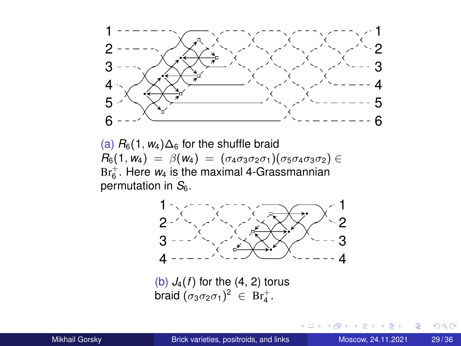<span id="page-28-0"></span>

(a)  $R_6(1, w_4) \Delta_6$  for the shuffle braid  $R_6(1, w_4) = β(w_4) = (σ_4σ_3σ_2σ_1)(σ_5σ_4σ_3σ_2)$  ∈  $Br_6^+$ . Here  $w_4$  is the maximal 4-Grassmannian permutation in *S*6.



(b)  $J_4(f)$  for the  $(4, 2)$  torus braid  $(\sigma_3\sigma_2\sigma_1)^2 \in \text{Br}_4^+$ .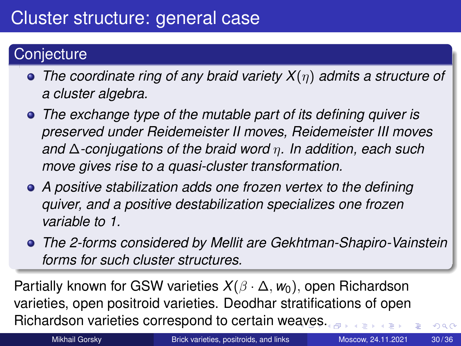### **Conjecture**

- *The coordinate ring of any braid variety X*(η) *admits a structure of a cluster algebra.*
- *The exchange type of the mutable part of its defining quiver is preserved under Reidemeister II moves, Reidemeister III moves and* ∆*-conjugations of the braid word* η*. In addition, each such move gives rise to a quasi-cluster transformation.*
- *A positive stabilization adds one frozen vertex to the defining quiver, and a positive destabilization specializes one frozen variable to 1.*
- *The 2-forms considered by Mellit are Gekhtman-Shapiro-Vainstein forms for such cluster structures.*

Partially known for GSW varieties *X*(β · ∆, *w*0), open Richardson varieties, open positroid varieties. Deodhar stratifications of open Richardson varieties correspond to certain we[av](#page-28-0)[es](#page-30-0)[.](#page-28-0)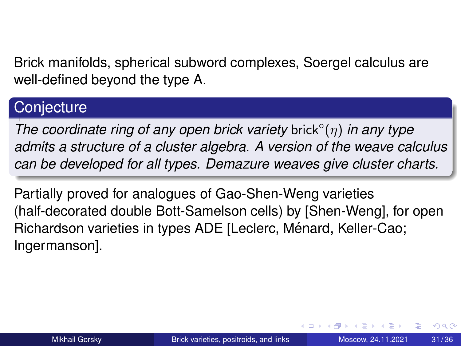<span id="page-30-0"></span>Brick manifolds, spherical subword complexes, Soergel calculus are well-defined beyond the type A.

#### **Conjecture**

*The coordinate ring of any open brick variety* brick◦ (η) *in any type admits a structure of a cluster algebra. A version of the weave calculus can be developed for all types. Demazure weaves give cluster charts.*

Partially proved for analogues of Gao-Shen-Weng varieties (half-decorated double Bott-Samelson cells) by [Shen-Weng], for open Richardson varieties in types ADE [Leclerc, Ménard, Keller-Cao; Ingermanson].

 $\Omega$ 

イロト イ押ト イヨト イヨトー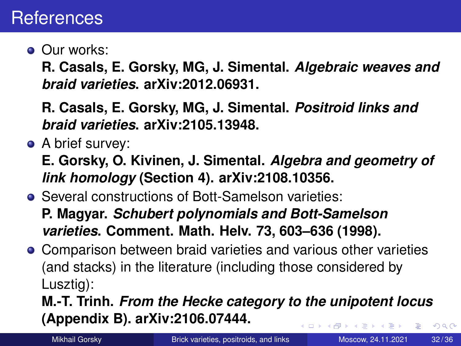### **References**

**Our works:** 

**R. Casals, E. Gorsky, MG, J. Simental.** *Algebraic weaves and braid varieties***. arXiv:2012.06931.**

**R. Casals, E. Gorsky, MG, J. Simental.** *Positroid links and braid varieties***. arXiv:2105.13948.**

• A brief survey:

**E. Gorsky, O. Kivinen, J. Simental.** *Algebra and geometry of link homology* **(Section 4). arXiv:2108.10356.**

Several constructions of Bott-Samelson varieties:

**P. Magyar.** *Schubert polynomials and Bott-Samelson varieties***. Comment. Math. Helv. 73, 603–636 (1998).**

Comparison between braid varieties and various other varieties (and stacks) in the literature (including those considered by Lusztig):

**M.-T. Trinh.** *From the Hecke category to the unipotent locus* **(Appendix B). arXiv:2106.07444.**  $\Omega$ 

Mikhail Gorsky **[Brick varieties, positroids, and links](#page-0-0)** Moscow, 24.11.2021 32/36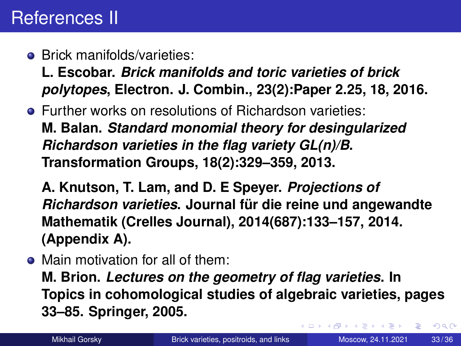# <span id="page-32-0"></span>References II

**•** Brick manifolds/varieties:

**L. Escobar.** *Brick manifolds and toric varieties of brick polytopes***, Electron. J. Combin., 23(2):Paper 2.25, 18, 2016.**

● Further works on resolutions of Richardson varieties: **M. Balan.** *Standard monomial theory for desingularized Richardson varieties in the flag variety GL(n)/B***. Transformation Groups, 18(2):329–359, 2013.**

**A. Knutson, T. Lam, and D. E Speyer.** *Projections of Richardson varieties*. Journal für die reine und angewandte **Mathematik (Crelles Journal), 2014(687):133–157, 2014. (Appendix A).**

• Main motivation for all of them:

**M. Brion.** *Lectures on the geometry of flag varieties***. In Topics in cohomological studies of algebraic varieties, pages 33–85. Springer, 2005.**

Þ

 $\Omega$ 

イロト イ押 トイラト イラト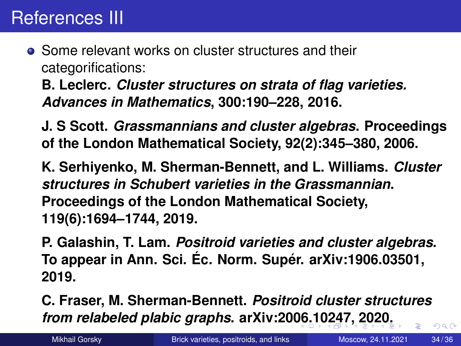<span id="page-33-0"></span>**• Some relevant works on cluster structures and their** categorifications:

**B. Leclerc.** *Cluster structures on strata of flag varieties. Advances in Mathematics***, 300:190–228, 2016.**

**J. S Scott.** *Grassmannians and cluster algebras***. Proceedings of the London Mathematical Society, 92(2):345–380, 2006.**

**K. Serhiyenko, M. Sherman-Bennett, and L. Williams.** *Cluster structures in Schubert varieties in the Grassmannian***. Proceedings of the London Mathematical Society, 119(6):1694–1744, 2019.**

**P. Galashin, T. Lam.** *Positroid varieties and cluster algebras***. To appear in Ann. Sci. Ec. Norm. Super. arXiv:1906.03501, 2019.**

**C. Fraser, M. Sherman-Bennett.** *Positroid cluster structures from relabeled plabic graphs***. arXiv:20[06](#page-32-0).[10](#page-34-0)[24](#page-33-0)[7](#page-34-0)[, 2](#page-0-0)[0](#page-35-0)[20](#page-0-0)[.](#page-35-0)**  $\Omega$ 

Mikhail Gorsky **[Brick varieties, positroids, and links](#page-0-0)** Moscow, 24.11.2021 34/36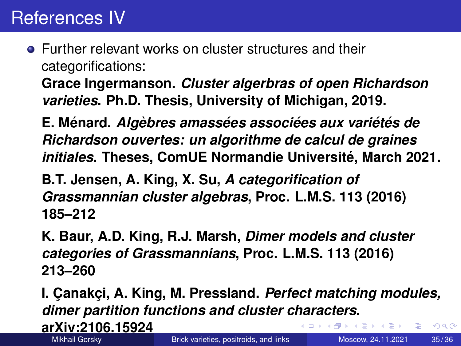<span id="page-34-0"></span>**•** Further relevant works on cluster structures and their categorifications:

**Grace Ingermanson.** *Cluster algerbras of open Richardson varieties***. Ph.D. Thesis, University of Michigan, 2019.**

**E. Menard. ´** *Algebres amass ` ees associ ´ ees aux vari ´ et´ es de ´ Richardson ouvertes: un algorithme de calcul de graines initiales***. Theses, ComUE Normandie Universite, March 2021. ´**

**B.T. Jensen, A. King, X. Su,** *A categorification of Grassmannian cluster algebras***, Proc. L.M.S. 113 (2016) 185–212**

**K. Baur, A.D. King, R.J. Marsh,** *Dimer models and cluster categories of Grassmannians***, Proc. L.M.S. 113 (2016) 213–260**

**I. Canakci, A. King, M. Pressland. Perfect matching modules,** *dimer partition functions and cluster characters***.**

**arXiv:2106.15924**

 $\Omega$